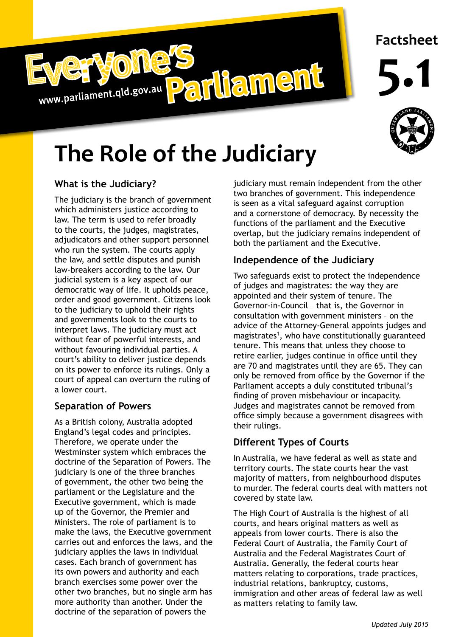

## **Factsheet**

**5.1**



# **The Role of the Judiciary**

#### **What is the Judiciary?**

The judiciary is the branch of government which administers justice according to law. The term is used to refer broadly to the courts, the judges, magistrates, adjudicators and other support personnel who run the system. The courts apply the law, and settle disputes and punish law-breakers according to the law. Our judicial system is a key aspect of our democratic way of life. It upholds peace, order and good government. Citizens look to the judiciary to uphold their rights and governments look to the courts to interpret laws. The judiciary must act without fear of powerful interests, and without favouring individual parties. A court's ability to deliver justice depends on its power to enforce its rulings. Only a court of appeal can overturn the ruling of a lower court.

#### **Separation of Powers**

As a British colony, Australia adopted England's legal codes and principles. Therefore, we operate under the Westminster system which embraces the doctrine of the Separation of Powers. The judiciary is one of the three branches of government, the other two being the parliament or the Legislature and the Executive government, which is made up of the Governor, the Premier and Ministers. The role of parliament is to make the laws, the Executive government carries out and enforces the laws, and the judiciary applies the laws in individual cases. Each branch of government has its own powers and authority and each branch exercises some power over the other two branches, but no single arm has more authority than another. Under the doctrine of the separation of powers the

judiciary must remain independent from the other two branches of government. This independence is seen as a vital safeguard against corruption and a cornerstone of democracy. By necessity the functions of the parliament and the Executive overlap, but the judiciary remains independent of both the parliament and the Executive.

#### **Independence of the Judiciary**

Two safeguards exist to protect the independence of judges and magistrates: the way they are appointed and their system of tenure. The Governor-in-Council – that is, the Governor in consultation with government ministers – on the advice of the Attorney-General appoints judges and magistrates<sup>1</sup>, who have constitutionally guaranteed tenure. This means that unless they choose to retire earlier, judges continue in office until they are 70 and magistrates until they are 65. They can only be removed from office by the Governor if the Parliament accepts a duly constituted tribunal's finding of proven misbehaviour or incapacity. Judges and magistrates cannot be removed from office simply because a government disagrees with their rulings.

### **Different Types of Courts**

In Australia, we have federal as well as state and territory courts. The state courts hear the vast majority of matters, from neighbourhood disputes to murder. The federal courts deal with matters not covered by state law.

as matters relating to family law. The High Court of Australia is the highest of all courts, and hears original matters as well as appeals from lower courts. There is also the Federal Court of Australia, the Family Court of Australia and the Federal Magistrates Court of Australia. Generally, the federal courts hear matters relating to corporations, trade practices, industrial relations, bankruptcy, customs, immigration and other areas of federal law as well